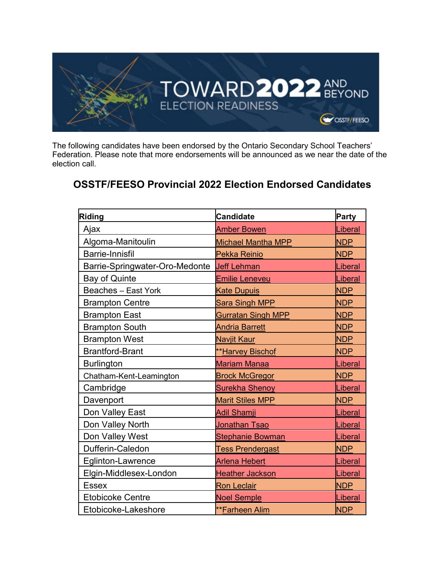

The following candidates have been endorsed by the Ontario Secondary School Teachers' Federation. Please note that more endorsements will be announced as we near the date of the election call.

## **OSSTF/FEESO Provincial 2022 Election Endorsed Candidates**

| <b>Riding</b>                  | <b>Candidate</b>          | Party      |
|--------------------------------|---------------------------|------------|
| Ajax                           | <b>Amber Bowen</b>        | Liberal    |
| Algoma-Manitoulin              | <b>Michael Mantha MPP</b> | <b>NDP</b> |
| <b>Barrie-Innisfil</b>         | <b>Pekka Reinio</b>       | <b>NDP</b> |
| Barrie-Springwater-Oro-Medonte | <b>Jeff Lehman</b>        | Liberal    |
| <b>Bay of Quinte</b>           | <u>Emilie Leneveu</u>     | Liberal    |
| <b>Beaches - East York</b>     | <b>Kate Dupuis</b>        | <b>NDP</b> |
| <b>Brampton Centre</b>         | <b>Sara Singh MPP</b>     | <b>NDP</b> |
| <b>Brampton East</b>           | <b>Gurratan Singh MPP</b> | <b>NDP</b> |
| <b>Brampton South</b>          | <b>Andria Barrett</b>     | <b>NDP</b> |
| <b>Brampton West</b>           | <b>Navjit Kaur</b>        | <b>NDP</b> |
| <b>Brantford-Brant</b>         | **Harvey Bischof          | <b>NDP</b> |
| <b>Burlington</b>              | <b>Mariam Manaa</b>       | Liberal    |
| Chatham-Kent-Leamington        | <b>Brock McGregor</b>     | <b>NDP</b> |
| Cambridge                      | <b>Surekha Shenoy</b>     | Liberal    |
| Davenport                      | <b>Marit Stiles MPP</b>   | <b>NDP</b> |
| Don Valley East                | <b>Adil Shamji</b>        | Liberal    |
| Don Valley North               | Jonathan Tsao             | Liberal    |
| Don Valley West                | <b>Stephanie Bowman</b>   | Liberal    |
| Dufferin-Caledon               | <b>Tess Prendergast</b>   | <b>NDP</b> |
| <b>Eglinton-Lawrence</b>       | <b>Arlena Hebert</b>      | Liberal    |
| Elgin-Middlesex-London         | <b>Heather Jackson</b>    | Liberal    |
| <b>Essex</b>                   | <b>Ron Leclair</b>        | <b>NDP</b> |
| <b>Etobicoke Centre</b>        | <b>Noel Semple</b>        | Liberal    |
| Etobicoke-Lakeshore            | **Farheen Alim            | <b>NDP</b> |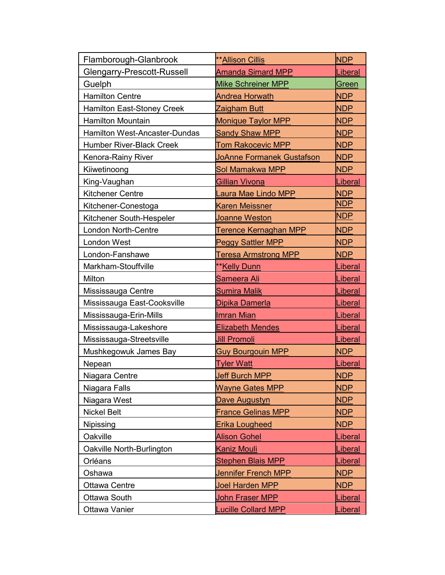| Flamborough-Glanbrook                | <b>**Allison Cillis</b>      | <b>NDP</b>     |
|--------------------------------------|------------------------------|----------------|
| Glengarry-Prescott-Russell           | <b>Amanda Simard MPP</b>     | Liberal        |
| Guelph                               | <b>Mike Schreiner MPP</b>    | Green          |
| <b>Hamilton Centre</b>               | <b>Andrea Horwath</b>        | <b>NDP</b>     |
| <b>Hamilton East-Stoney Creek</b>    | <u>Zaigham Butt</u>          | <b>NDP</b>     |
| <b>Hamilton Mountain</b>             | <b>Monique Taylor MPP</b>    | <b>NDP</b>     |
| <b>Hamilton West-Ancaster-Dundas</b> | <b>Sandy Shaw MPP</b>        | <b>NDP</b>     |
| <b>Humber River-Black Creek</b>      | <u>Tom Rakocevic MPP</u>     | <b>NDP</b>     |
| Kenora-Rainy River                   | JoAnne Formanek Gustafson    | <b>NDP</b>     |
| Kiiwetinoong                         | Sol Mamakwa MPP              | <b>NDP</b>     |
| King-Vaughan                         | <u>Gillian Vivona</u>        | Liberal        |
| <b>Kitchener Centre</b>              | Laura Mae Lindo MPP          | <b>NDP</b>     |
| Kitchener-Conestoga                  | <b>Karen Meissner</b>        | <b>NDP</b>     |
| Kitchener South-Hespeler             | <u>Joanne Weston</u>         | <b>NDP</b>     |
| <b>London North-Centre</b>           | <u>Terence Kernaghan MPP</u> | <b>NDP</b>     |
| <b>London West</b>                   | <b>Peggy Sattler MPP</b>     | <b>NDP</b>     |
| London-Fanshawe                      | <b>Teresa Armstrong MPP</b>  | <b>NDP</b>     |
| Markham-Stouffville                  | ** Kelly Dunn                | Liberal        |
| Milton                               | <u>Sameera Ali</u>           | Liberal        |
| Mississauga Centre                   | <u>Sumira Malik</u>          | <u>Liberal</u> |
| Mississauga East-Cooksville          | Dipika Damerla               | <u>Liberal</u> |
| Mississauga-Erin-Mills               | <b>Imran Mian</b>            | Liberal        |
| Mississauga-Lakeshore                | Elizabeth Mendes             | Liberal        |
| Mississauga-Streetsville             | <b>Jill Promoli</b>          | Liberal        |
| Mushkegowuk James Bay                | <b>Guy Bourgouin MPP</b>     | <b>NDP</b>     |
| Nepean                               | <b>Tyler Watt</b>            | Liberal        |
| Niagara Centre                       | <b>Jeff Burch MPP</b>        | <b>NDP</b>     |
| Niagara Falls                        | <b>Wayne Gates MPP</b>       | <b>NDP</b>     |
| Niagara West                         | Dave Augustyn                | <b>NDP</b>     |
| <b>Nickel Belt</b>                   | <b>France Gelinas MPP</b>    | <b>NDP</b>     |
| Nipissing                            | Erika Lougheed               | <b>NDP</b>     |
| Oakville                             | <b>Alison Gohel</b>          | Liberal        |
| Oakville North-Burlington            | <b>Kaniz Mouli</b>           | <b>Liberal</b> |
| Orléans                              | <b>Stephen Blais MPP</b>     | Liberal        |
| Oshawa                               | Jennifer French MPP          | <b>NDP</b>     |
| <b>Ottawa Centre</b>                 | Joel Harden MPP              | <b>NDP</b>     |
| Ottawa South                         | John Fraser MPP              | <u>Liberal</u> |
| Ottawa Vanier                        | <b>Lucille Collard MPP</b>   | <b>Liberal</b> |